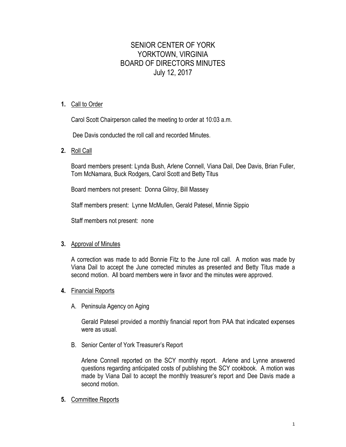# SENIOR CENTER OF YORK YORKTOWN, VIRGINIA BOARD OF DIRECTORS MINUTES July 12, 2017

# **1.** Call to Order

Carol Scott Chairperson called the meeting to order at 10:03 a.m.

Dee Davis conducted the roll call and recorded Minutes.

**2.** Roll Call

Board members present: Lynda Bush, Arlene Connell, Viana Dail, Dee Davis, Brian Fuller, Tom McNamara, Buck Rodgers, Carol Scott and Betty Titus

Board members not present: Donna Gilroy, Bill Massey

Staff members present: Lynne McMullen, Gerald Patesel, Minnie Sippio

Staff members not present: none

## **3.** Approval of Minutes

A correction was made to add Bonnie Fitz to the June roll call. A motion was made by Viana Dail to accept the June corrected minutes as presented and Betty Titus made a second motion. All board members were in favor and the minutes were approved.

## **4.** Financial Reports

A. Peninsula Agency on Aging

Gerald Patesel provided a monthly financial report from PAA that indicated expenses were as usual.

B. Senior Center of York Treasurer's Report

Arlene Connell reported on the SCY monthly report. Arlene and Lynne answered questions regarding anticipated costs of publishing the SCY cookbook. A motion was made by Viana Dail to accept the monthly treasurer's report and Dee Davis made a second motion.

**5.** Committee Reports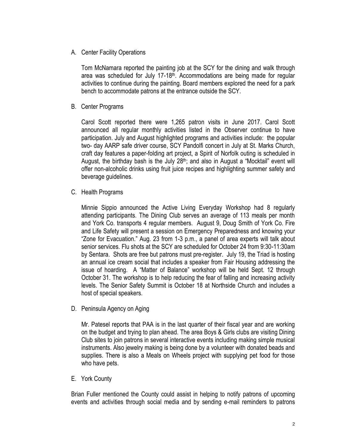## A. Center Facility Operations

Tom McNamara reported the painting job at the SCY for the dining and walk through area was scheduled for July 17-18<sup>th</sup>. Accommodations are being made for regular activities to continue during the painting. Board members explored the need for a park bench to accommodate patrons at the entrance outside the SCY.

B. Center Programs

Carol Scott reported there were 1,265 patron visits in June 2017. Carol Scott announced all regular monthly activities listed in the Observer continue to have participation. July and August highlighted programs and activities include: the popular two- day AARP safe driver course, SCY Pandolfi concert in July at St. Marks Church, craft day features a paper-folding art project, a Spirit of Norfolk outing is scheduled in August, the birthday bash is the July  $28<sup>th</sup>$ ; and also in August a "Mocktail" event will offer non-alcoholic drinks using fruit juice recipes and highlighting summer safety and beverage guidelines.

C. Health Programs

Minnie Sippio announced the Active Living Everyday Workshop had 8 regularly attending participants. The Dining Club serves an average of 113 meals per month and York Co. transports 4 regular members. August 9, Doug Smith of York Co. Fire and Life Safety will present a session on Emergency Preparedness and knowing your "Zone for Evacuation." Aug. 23 from 1-3 p.m., a panel of area experts will talk about senior services. Flu shots at the SCY are scheduled for October 24 from 9:30-11:30am by Sentara. Shots are free but patrons must pre-register. July 19, the Triad is hosting an annual ice cream social that includes a speaker from Fair Housing addressing the issue of hoarding. A "Matter of Balance" workshop will be held Sept. 12 through October 31. The workshop is to help reducing the fear of falling and increasing activity levels. The Senior Safety Summit is October 18 at Northside Church and includes a host of special speakers.

D. Peninsula Agency on Aging

Mr. Patesel reports that PAA is in the last quarter of their fiscal year and are working on the budget and trying to plan ahead. The area Boys & Girls clubs are visiting Dining Club sites to join patrons in several interactive events including making simple musical instruments. Also jewelry making is being done by a volunteer with donated beads and supplies. There is also a Meals on Wheels project with supplying pet food for those who have pets.

## E. York County

Brian Fuller mentioned the County could assist in helping to notify patrons of upcoming events and activities through social media and by sending e-mail reminders to patrons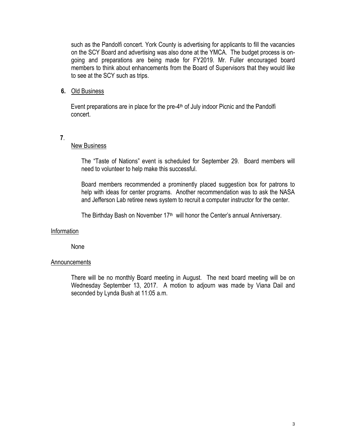such as the Pandolfi concert. York County is advertising for applicants to fill the vacancies on the SCY Board and advertising was also done at the YMCA. The budget process is ongoing and preparations are being made for FY2019. Mr. Fuller encouraged board members to think about enhancements from the Board of Supervisors that they would like to see at the SCY such as trips.

### **6.** Old Business

Event preparations are in place for the pre- $4<sup>th</sup>$  of July indoor Picnic and the Pandolfi concert.

**7**.

#### New Business

The "Taste of Nations" event is scheduled for September 29. Board members will need to volunteer to help make this successful.

Board members recommended a prominently placed suggestion box for patrons to help with ideas for center programs. Another recommendation was to ask the NASA and Jefferson Lab retiree news system to recruit a computer instructor for the center.

The Birthday Bash on November 17<sup>th</sup> will honor the Center's annual Anniversary.

#### Information

None

#### Announcements

There will be no monthly Board meeting in August. The next board meeting will be on Wednesday September 13, 2017. A motion to adjourn was made by Viana Dail and seconded by Lynda Bush at 11:05 a.m.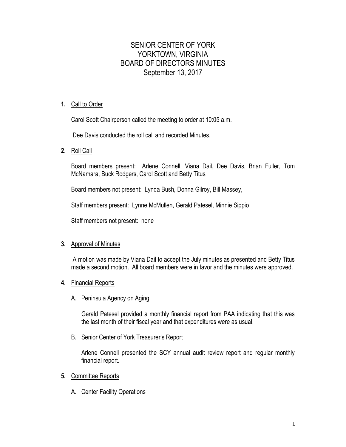# SENIOR CENTER OF YORK YORKTOWN, VIRGINIA BOARD OF DIRECTORS MINUTES September 13, 2017

## **1.** Call to Order

Carol Scott Chairperson called the meeting to order at 10:05 a.m.

Dee Davis conducted the roll call and recorded Minutes.

**2.** Roll Call

Board members present: Arlene Connell, Viana Dail, Dee Davis, Brian Fuller, Tom McNamara, Buck Rodgers, Carol Scott and Betty Titus

Board members not present: Lynda Bush, Donna Gilroy, Bill Massey,

Staff members present: Lynne McMullen, Gerald Patesel, Minnie Sippio

Staff members not present: none

## **3.** Approval of Minutes

A motion was made by Viana Dail to accept the July minutes as presented and Betty Titus made a second motion. All board members were in favor and the minutes were approved.

- **4.** Financial Reports
	- A. Peninsula Agency on Aging

Gerald Patesel provided a monthly financial report from PAA indicating that this was the last month of their fiscal year and that expenditures were as usual.

B. Senior Center of York Treasurer's Report

Arlene Connell presented the SCY annual audit review report and regular monthly financial report.

- **5.** Committee Reports
	- A. Center Facility Operations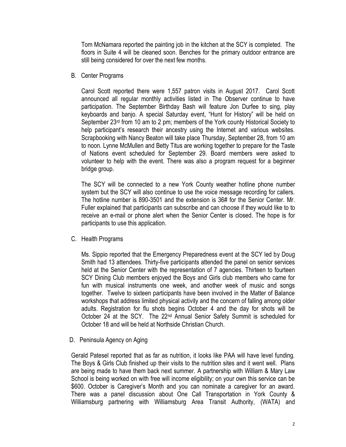Tom McNamara reported the painting job in the kitchen at the SCY is completed. The floors in Suite 4 will be cleaned soon. Benches for the primary outdoor entrance are still being considered for over the next few months.

### B. Center Programs

Carol Scott reported there were 1,557 patron visits in August 2017. Carol Scott announced all regular monthly activities listed in The Observer continue to have participation. The September Birthday Bash will feature Jon Durfee to sing, play keyboards and banjo. A special Saturday event, "Hunt for History" will be held on September 23rd from 10 am to 2 pm; members of the York county Historical Society to help participant's research their ancestry using the Internet and various websites. Scrapbooking with Nancy Beaton will take place Thursday, September 28, from 10 am to noon. Lynne McMullen and Betty Titus are working together to prepare for the Taste of Nations event scheduled for September 29. Board members were asked to volunteer to help with the event. There was also a program request for a beginner bridge group.

The SCY will be connected to a new York County weather hotline phone number system but the SCY will also continue to use the voice message recording for callers. The hotline number is 890-3501 and the extension is 36# for the Senior Center. Mr. Fuller explained that participants can subscribe and can choose if they would like to to receive an e-mail or phone alert when the Senior Center is closed. The hope is for participants to use this application.

## C. Health Programs

Ms. Sippio reported that the Emergency Preparedness event at the SCY led by Doug Smith had 13 attendees. Thirty-five participants attended the panel on senior services held at the Senior Center with the representation of 7 agencies. Thirteen to fourteen SCY Dining Club members enjoyed the Boys and Girls club members who came for fun with musical instruments one week, and another week of music and songs together. Twelve to sixteen participants have been involved in the Matter of Balance workshops that address limited physical activity and the concern of falling among older adults. Registration for flu shots begins October 4 and the day for shots will be October 24 at the SCY. The 22<sup>nd</sup> Annual Senior Safety Summit is scheduled for October 18 and will be held at Northside Christian Church.

D. Peninsula Agency on Aging

Gerald Patesel reported that as far as nutrition, it looks like PAA will have level funding. The Boys & Girls Club finished up their visits to the nutrition sites and it went well. Plans are being made to have them back next summer. A partnership with William & Mary Law School is being worked on with free will income eligibility; on your own this service can be \$600. October is Caregiver's Month and you can nominate a caregiver for an award. There was a panel discussion about One Call Transportation in York County & Williamsburg partnering with Williamsburg Area Transit Authority, (WATA) and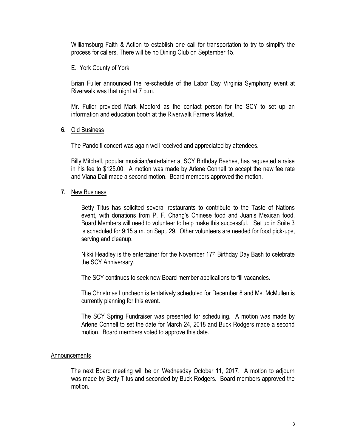Williamsburg Faith & Action to establish one call for transportation to try to simplify the process for callers. There will be no Dining Club on September 15.

E. York County of York

Brian Fuller announced the re-schedule of the Labor Day Virginia Symphony event at Riverwalk was that night at 7 p.m.

Mr. Fuller provided Mark Medford as the contact person for the SCY to set up an information and education booth at the Riverwalk Farmers Market.

#### **6.** Old Business

The Pandolfi concert was again well received and appreciated by attendees.

Billy Mitchell, popular musician/entertainer at SCY Birthday Bashes, has requested a raise in his fee to \$125.00. A motion was made by Arlene Connell to accept the new fee rate and Viana Dail made a second motion. Board members approved the motion.

#### **7.** New Business

Betty Titus has solicited several restaurants to contribute to the Taste of Nations event, with donations from P. F. Chang's Chinese food and Juan's Mexican food. Board Members will need to volunteer to help make this successful. Set up in Suite 3 is scheduled for 9:15 a.m. on Sept. 29. Other volunteers are needed for food pick-ups, serving and cleanup.

Nikki Headley is the entertainer for the November  $17<sup>th</sup>$  Birthday Day Bash to celebrate the SCY Anniversary.

The SCY continues to seek new Board member applications to fill vacancies.

The Christmas Luncheon is tentatively scheduled for December 8 and Ms. McMullen is currently planning for this event.

The SCY Spring Fundraiser was presented for scheduling. A motion was made by Arlene Connell to set the date for March 24, 2018 and Buck Rodgers made a second motion. Board members voted to approve this date.

#### Announcements

The next Board meeting will be on Wednesday October 11, 2017. A motion to adjourn was made by Betty Titus and seconded by Buck Rodgers. Board members approved the motion.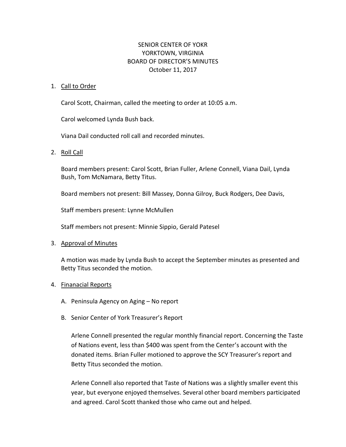# SENIOR CENTER OF YOKR YORKTOWN, VIRGINIA BOARD OF DIRECTOR'S MINUTES October 11, 2017

#### 1. Call to Order

Carol Scott, Chairman, called the meeting to order at 10:05 a.m.

Carol welcomed Lynda Bush back.

Viana Dail conducted roll call and recorded minutes.

2. Roll Call

Board members present: Carol Scott, Brian Fuller, Arlene Connell, Viana Dail, Lynda Bush, Tom McNamara, Betty Titus.

Board members not present: Bill Massey, Donna Gilroy, Buck Rodgers, Dee Davis,

Staff members present: Lynne McMullen

Staff members not present: Minnie Sippio, Gerald Patesel

#### 3. Approval of Minutes

A motion was made by Lynda Bush to accept the September minutes as presented and Betty Titus seconded the motion.

#### 4. Finanacial Reports

- A. Peninsula Agency on Aging No report
- B. Senior Center of York Treasurer's Report

Arlene Connell presented the regular monthly financial report. Concerning the Taste of Nations event, less than \$400 was spent from the Center's account with the donated items. Brian Fuller motioned to approve the SCY Treasurer's report and Betty Titus seconded the motion.

Arlene Connell also reported that Taste of Nations was a slightly smaller event this year, but everyone enjoyed themselves. Several other board members participated and agreed. Carol Scott thanked those who came out and helped.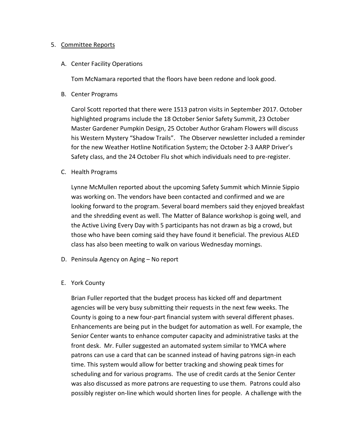#### 5. Committee Reports

A. Center Facility Operations

Tom McNamara reported that the floors have been redone and look good.

B. Center Programs

Carol Scott reported that there were 1513 patron visits in September 2017. October highlighted programs include the 18 October Senior Safety Summit, 23 October Master Gardener Pumpkin Design, 25 October Author Graham Flowers will discuss his Western Mystery "Shadow Trails". The Observer newsletter included a reminder for the new Weather Hotline Notification System; the October 2-3 AARP Driver's Safety class, and the 24 October Flu shot which individuals need to pre-register.

C. Health Programs

Lynne McMullen reported about the upcoming Safety Summit which Minnie Sippio was working on. The vendors have been contacted and confirmed and we are looking forward to the program. Several board members said they enjoyed breakfast and the shredding event as well. The Matter of Balance workshop is going well, and the Active Living Every Day with 5 participants has not drawn as big a crowd, but those who have been coming said they have found it beneficial. The previous ALED class has also been meeting to walk on various Wednesday mornings.

- D. Peninsula Agency on Aging No report
- E. York County

Brian Fuller reported that the budget process has kicked off and department agencies will be very busy submitting their requests in the next few weeks. The County is going to a new four-part financial system with several different phases. Enhancements are being put in the budget for automation as well. For example, the Senior Center wants to enhance computer capacity and administrative tasks at the front desk. Mr. Fuller suggested an automated system similar to YMCA where patrons can use a card that can be scanned instead of having patrons sign-in each time. This system would allow for better tracking and showing peak times for scheduling and for various programs. The use of credit cards at the Senior Center was also discussed as more patrons are requesting to use them. Patrons could also possibly register on-line which would shorten lines for people. A challenge with the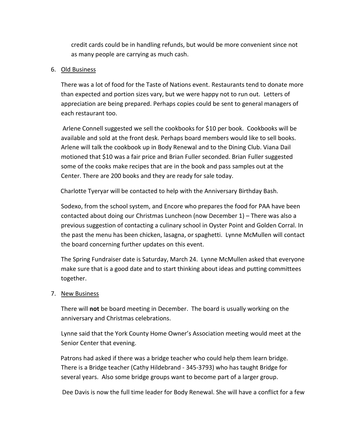credit cards could be in handling refunds, but would be more convenient since not as many people are carrying as much cash.

## 6. Old Business

There was a lot of food for the Taste of Nations event. Restaurants tend to donate more than expected and portion sizes vary, but we were happy not to run out. Letters of appreciation are being prepared. Perhaps copies could be sent to general managers of each restaurant too.

Arlene Connell suggested we sell the cookbooks for \$10 per book. Cookbooks will be available and sold at the front desk. Perhaps board members would like to sell books. Arlene will talk the cookbook up in Body Renewal and to the Dining Club. Viana Dail motioned that \$10 was a fair price and Brian Fuller seconded. Brian Fuller suggested some of the cooks make recipes that are in the book and pass samples out at the Center. There are 200 books and they are ready for sale today.

Charlotte Tyeryar will be contacted to help with the Anniversary Birthday Bash.

Sodexo, from the school system, and Encore who prepares the food for PAA have been contacted about doing our Christmas Luncheon (now December 1) – There was also a previous suggestion of contacting a culinary school in Oyster Point and Golden Corral. In the past the menu has been chicken, lasagna, or spaghetti. Lynne McMullen will contact the board concerning further updates on this event.

The Spring Fundraiser date is Saturday, March 24. Lynne McMullen asked that everyone make sure that is a good date and to start thinking about ideas and putting committees together.

#### 7. New Business

There will **not** be board meeting in December. The board is usually working on the anniversary and Christmas celebrations.

Lynne said that the York County Home Owner's Association meeting would meet at the Senior Center that evening.

 Patrons had asked if there was a bridge teacher who could help them learn bridge. There is a Bridge teacher (Cathy Hildebrand - 345-3793) who has taught Bridge for several years. Also some bridge groups want to become part of a larger group.

Dee Davis is now the full time leader for Body Renewal. She will have a conflict for a few